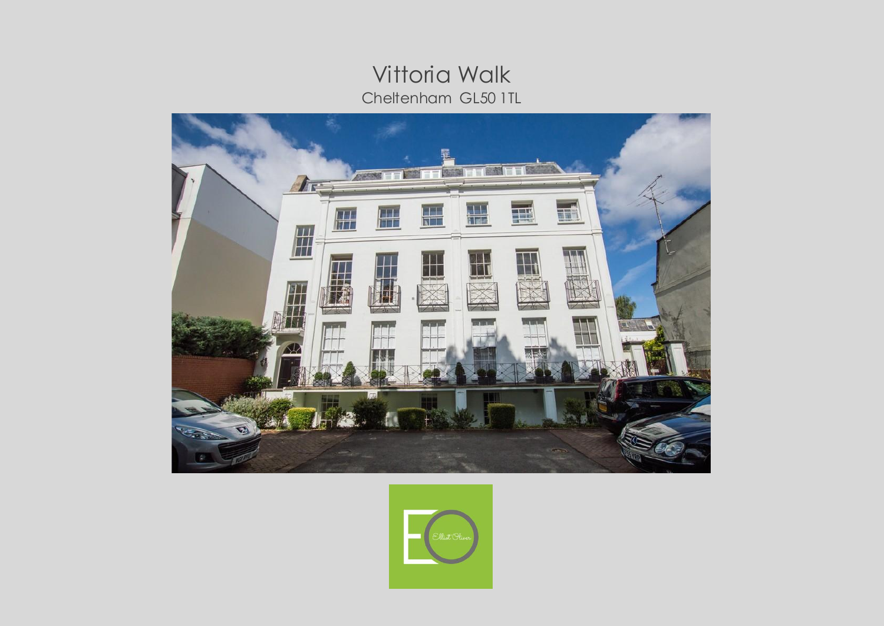# **Vittoria Walk** Cheltenham GL50 1TL



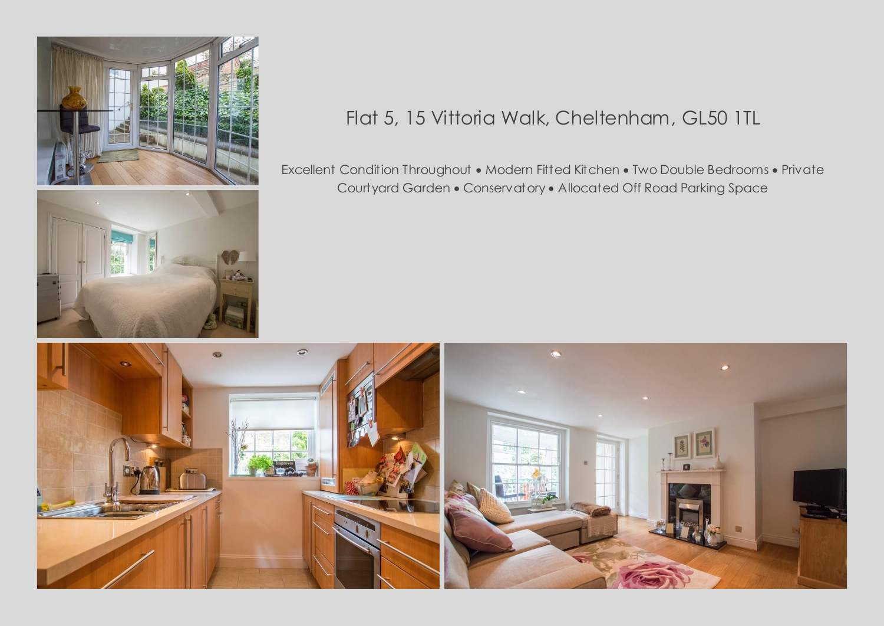



# Flat 5, 15 Vittoria Walk, Cheltenham, GL50 1TL

Excellent Condition Throughout • Modern Fitted Kitchen • Two Double Bedrooms • Private Courtyard Garden • Conservatory • Allocated Off Road Parking Space

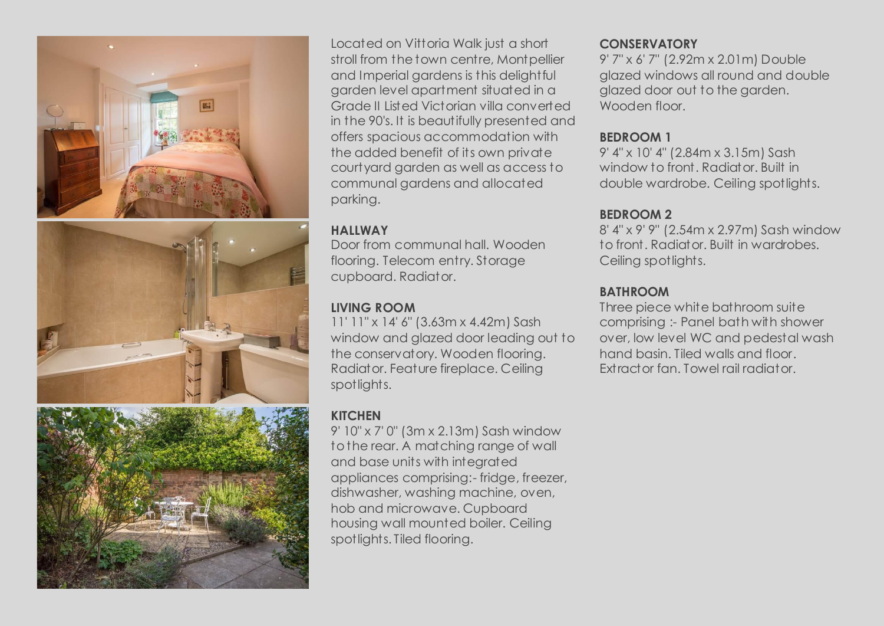





Located on Vittoria Walk just a short stroll from the town centre, Montpellier and Imperial gardens is this delightful garden level apartment situated in a Grade II Listed Victorian villa converted in the 90's. It is beautifully presented and offers spacious accommodation with the added benefit of its own private courtyard garden as well as access to communal gardens and allocated parking.

#### **HALLWAY**

Door from communal hall. Wooden flooring. Telecom entry. Storage cupboard. Radiator.

## **LIVING ROOM**

11' 11" x 14' 6" (3.63m x 4.42m) Sash window and glazed door leading out to the conservatory. Wooden flooring. Radiator. Feature fireplace. Ceiling spotlights.

# **KITCHEN**

9' 10" x 7' 0" (3m x 2.13m) Sash window to the rear. A matching range of wall and base units with integrated appliances comprising:- fridge, freezer, dishwasher, washing machine, oven, hob and microwave. Cupboard housing wall mounted boiler. Ceiling spotlights. Tiled flooring.

### **CONSERVATORY**

9' 7" x 6' 7" (2.92m x 2.01m) Double glazed windows all round and double glazed door out to the garden. Wooden floor.

### **BEDROOM 1**

9' 4" x 10' 4" (2.84m x 3.15m) Sash window to front. Radiator. Built in double wardrobe. Ceiling spotlights.

# **BEDROOM 2**

8' 4" x 9' 9" (2.54m x 2.97m) Sash window to front. Radiator. Built in wardrobes. Ceiling spotlights.

## **BATHROOM**

Three piece white bathroom suite comprising :- Panel bath with shower over, low level WC and pedestal wash hand basin. Tiled walls and floor. Extractor fan. Towel rail radiator.